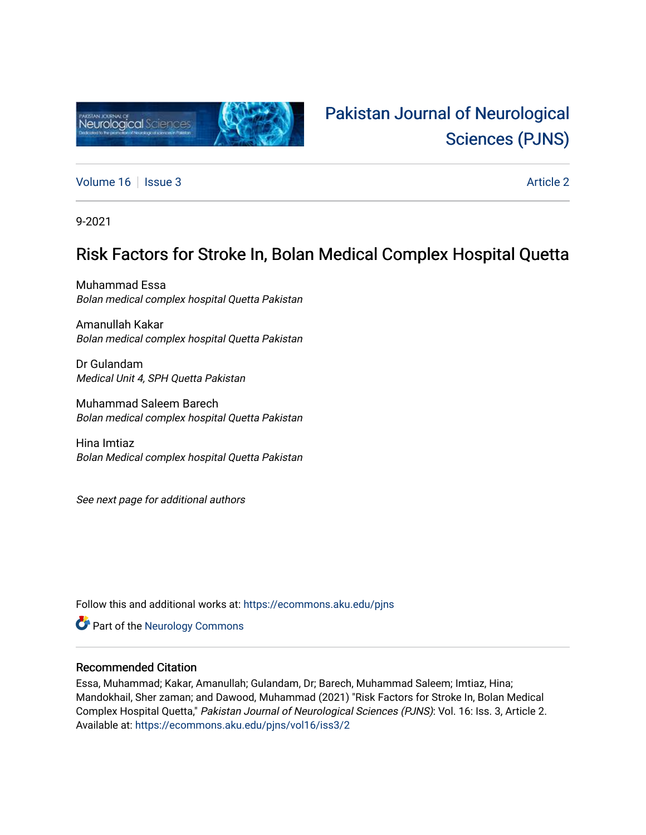

# [Pakistan Journal of Neurological](https://ecommons.aku.edu/pjns)  [Sciences \(PJNS\)](https://ecommons.aku.edu/pjns)

[Volume 16](https://ecommons.aku.edu/pjns/vol16) | [Issue 3](https://ecommons.aku.edu/pjns/vol16/iss3) Article 2

9-2021

## Risk Factors for Stroke In, Bolan Medical Complex Hospital Quetta

Muhammad Essa Bolan medical complex hospital Quetta Pakistan

Amanullah Kakar Bolan medical complex hospital Quetta Pakistan

Dr Gulandam Medical Unit 4, SPH Quetta Pakistan

Muhammad Saleem Barech Bolan medical complex hospital Quetta Pakistan

Hina Imtiaz Bolan Medical complex hospital Quetta Pakistan

See next page for additional authors

Follow this and additional works at: [https://ecommons.aku.edu/pjns](https://ecommons.aku.edu/pjns?utm_source=ecommons.aku.edu%2Fpjns%2Fvol16%2Fiss3%2F2&utm_medium=PDF&utm_campaign=PDFCoverPages) 

**Part of the [Neurology Commons](http://network.bepress.com/hgg/discipline/692?utm_source=ecommons.aku.edu%2Fpjns%2Fvol16%2Fiss3%2F2&utm_medium=PDF&utm_campaign=PDFCoverPages)** 

### Recommended Citation

Essa, Muhammad; Kakar, Amanullah; Gulandam, Dr; Barech, Muhammad Saleem; Imtiaz, Hina; Mandokhail, Sher zaman; and Dawood, Muhammad (2021) "Risk Factors for Stroke In, Bolan Medical Complex Hospital Quetta," Pakistan Journal of Neurological Sciences (PJNS): Vol. 16: Iss. 3, Article 2. Available at: [https://ecommons.aku.edu/pjns/vol16/iss3/2](https://ecommons.aku.edu/pjns/vol16/iss3/2?utm_source=ecommons.aku.edu%2Fpjns%2Fvol16%2Fiss3%2F2&utm_medium=PDF&utm_campaign=PDFCoverPages)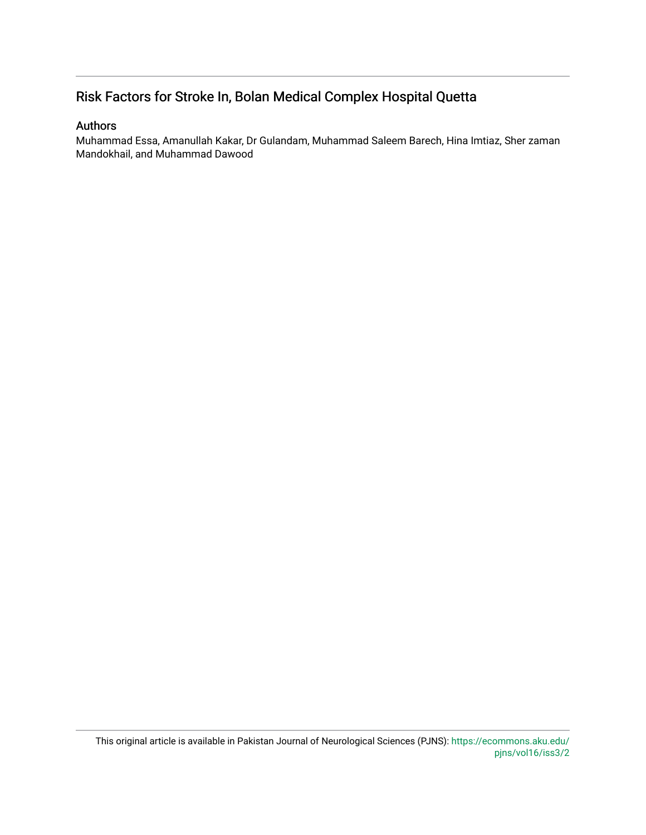### Risk Factors for Stroke In, Bolan Medical Complex Hospital Quetta

### Authors

Muhammad Essa, Amanullah Kakar, Dr Gulandam, Muhammad Saleem Barech, Hina Imtiaz, Sher zaman Mandokhail, and Muhammad Dawood

This original article is available in Pakistan Journal of Neurological Sciences (PJNS): [https://ecommons.aku.edu/](https://ecommons.aku.edu/pjns/vol16/iss3/2) [pjns/vol16/iss3/2](https://ecommons.aku.edu/pjns/vol16/iss3/2)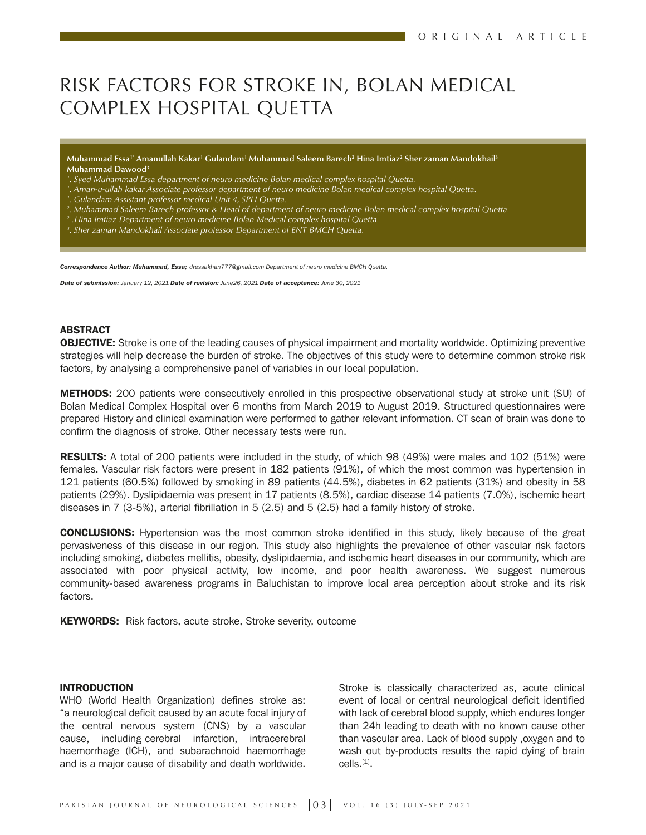# RISK FACTORS FOR STROKE IN, BOLAN MEDICAL COMPLEX HOSPITAL QUETTA

**Muhammad Essa1\* Amanullah Kakar1 Gulandam1 Muhammad Saleem Barech2 Hina Imtiaz2 Sher zaman Mandokhail3 Muhammad Dawood3**

- *1 . Syed Muhammad Essa department of neuro medicine Bolan medical complex hospital Quetta.*
- *1 . Aman-u-ullah kakar Associate professor department of neuro medicine Bolan medical complex hospital Quetta.*
- *1 . Gulandam Assistant professor medical Unit 4, SPH Quetta.*
- *2 . Muhammad Saleem Barech professor & Head of department of neuro medicine Bolan medical complex hospital Quetta.*
- *2 .Hina Imtiaz Department of neuro medicine Bolan Medical complex hospital Quetta.*
- *3 . Sher zaman Mandokhail Associate professor Department of ENT BMCH Quetta.*

*Correspondence Author: Muhammad, Essa; dressakhan777@gmail.com Department of neuro medicine BMCH Quetta,*

*Date of submission: January 12, 2021 Date of revision: June26, 2021 Date of acceptance: June 30, 2021* 

#### ABSTRACT

**OBJECTIVE:** Stroke is one of the leading causes of physical impairment and mortality worldwide. Optimizing preventive strategies will help decrease the burden of stroke. The objectives of this study were to determine common stroke risk factors, by analysing a comprehensive panel of variables in our local population.

METHODS: 200 patients were consecutively enrolled in this prospective observational study at stroke unit (SU) of Bolan Medical Complex Hospital over 6 months from March 2019 to August 2019. Structured questionnaires were prepared History and clinical examination were performed to gather relevant information. CT scan of brain was done to confirm the diagnosis of stroke. Other necessary tests were run.

RESULTS: A total of 200 patients were included in the study, of which 98 (49%) were males and 102 (51%) were females. Vascular risk factors were present in 182 patients (91%), of which the most common was hypertension in 121 patients (60.5%) followed by smoking in 89 patients (44.5%), diabetes in 62 patients (31%) and obesity in 58 patients (29%). Dyslipidaemia was present in 17 patients (8.5%), cardiac disease 14 patients (7.0%), ischemic heart diseases in 7 (3-5%), arterial fibrillation in 5 (2.5) and 5 (2.5) had a family history of stroke.

CONCLUSIONS: Hypertension was the most common stroke identified in this study, likely because of the great pervasiveness of this disease in our region. This study also highlights the prevalence of other vascular risk factors including smoking, diabetes mellitis, obesity, dyslipidaemia, and ischemic heart diseases in our community, which are associated with poor physical activity, low income, and poor health awareness. We suggest numerous community-based awareness programs in Baluchistan to improve local area perception about stroke and its risk factors.

KEYWORDS: Risk factors, acute stroke, Stroke severity, outcome

#### INTRODUCTION

WHO (World Health Organization) defines stroke as: "a neurological deficit caused by an acute focal injury of the central nervous system (CNS) by a vascular cause, including cerebral infarction, intracerebral haemorrhage (ICH), and subarachnoid haemorrhage and is a major cause of disability and death worldwide.

Stroke is classically characterized as, acute clinical event of local or central neurological deficit identified with lack of cerebral blood supply, which endures longer than 24h leading to death with no known cause other than vascular area. Lack of blood supply ,oxygen and to wash out by-products results the rapid dying of brain cells.[1].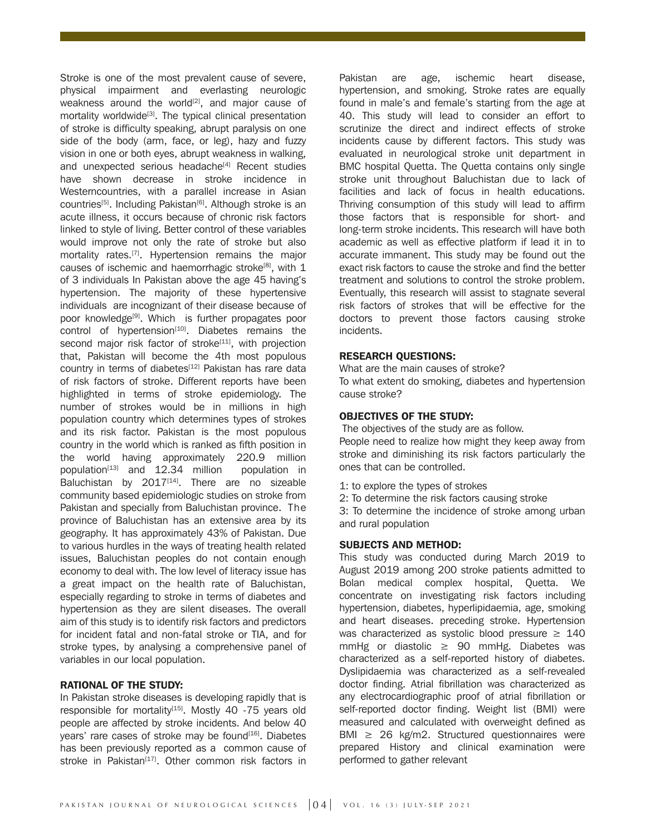Stroke is one of the most prevalent cause of severe, physical impairment and everlasting neurologic weakness around the world $[2]$ , and major cause of mortality worldwide<sup>[3]</sup>. The typical clinical presentation of stroke is difficulty speaking, abrupt paralysis on one side of the body (arm, face, or leg), hazy and fuzzy vision in one or both eyes, abrupt weakness in walking, and unexpected serious headache<sup>[4]</sup> Recent studies have shown decrease in stroke incidence in Westerncountries, with a parallel increase in Asian countries<sup>[5]</sup>. Including Pakistan<sup>[6]</sup>. Although stroke is an acute illness, it occurs because of chronic risk factors linked to style of living. Better control of these variables would improve not only the rate of stroke but also mortality rates.<sup>[7]</sup>. Hypertension remains the major causes of ischemic and haemorrhagic stroke<sup>[8]</sup>, with  $1$ of 3 individuals In Pakistan above the age 45 having's hypertension. The majority of these hypertensive individuals are incognizant of their disease because of poor knowledge<sup>[9]</sup>. Which is further propagates poor control of hypertension $[10]$ . Diabetes remains the second major risk factor of stroke<sup>[11]</sup>, with projection that, Pakistan will become the 4th most populous country in terms of diabetes<sup>[12]</sup> Pakistan has rare data of risk factors of stroke. Different reports have been highlighted in terms of stroke epidemiology. The number of strokes would be in millions in high population country which determines types of strokes and its risk factor. Pakistan is the most populous country in the world which is ranked as fifth position in the world having approximately 220.9 million population $[13]$  and 12.34 million population in Baluchistan by  $2017^{[14]}$ . There are no sizeable community based epidemiologic studies on stroke from Pakistan and specially from Baluchistan province. The province of Baluchistan has an extensive area by its geography. It has approximately 43% of Pakistan. Due to various hurdles in the ways of treating health related issues, Baluchistan peoples do not contain enough economy to deal with. The low level of literacy issue has a great impact on the health rate of Baluchistan, especially regarding to stroke in terms of diabetes and hypertension as they are silent diseases. The overall aim of this study is to identify risk factors and predictors for incident fatal and non-fatal stroke or TIA, and for stroke types, by analysing a comprehensive panel of variables in our local population.

#### RATIONAL OF THE STUDY:

In Pakistan stroke diseases is developing rapidly that is responsible for mortality $[15]$ . Mostly 40 -75 years old people are affected by stroke incidents. And below 40 years' rare cases of stroke may be found<sup>[16]</sup>. Diabetes has been previously reported as a common cause of stroke in Pakistan<sup>[17]</sup>. Other common risk factors in

Pakistan are age, ischemic heart disease, hypertension, and smoking. Stroke rates are equally found in male's and female's starting from the age at 40. This study will lead to consider an effort to scrutinize the direct and indirect effects of stroke incidents cause by different factors. This study was evaluated in neurological stroke unit department in BMC hospital Quetta. The Quetta contains only single stroke unit throughout Baluchistan due to lack of facilities and lack of focus in health educations. Thriving consumption of this study will lead to affirm those factors that is responsible for short- and long-term stroke incidents. This research will have both academic as well as effective platform if lead it in to accurate immanent. This study may be found out the exact risk factors to cause the stroke and find the better treatment and solutions to control the stroke problem. Eventually, this research will assist to stagnate several risk factors of strokes that will be effective for the doctors to prevent those factors causing stroke incidents.

#### RESEARCH QUESTIONS:

What are the main causes of stroke?

To what extent do smoking, diabetes and hypertension cause stroke?

#### OBJECTIVES OF THE STUDY:

The objectives of the study are as follow.

People need to realize how might they keep away from stroke and diminishing its risk factors particularly the ones that can be controlled.

- 1: to explore the types of strokes
- 2: To determine the risk factors causing stroke

3: To determine the incidence of stroke among urban and rural population

#### SUBJECTS AND METHOD:

This study was conducted during March 2019 to August 2019 among 200 stroke patients admitted to Bolan medical complex hospital, Quetta. We concentrate on investigating risk factors including hypertension, diabetes, hyperlipidaemia, age, smoking and heart diseases. preceding stroke. Hypertension was characterized as systolic blood pressure  $\geq 140$ mmHg or diastolic  $\geq$  90 mmHg. Diabetes was characterized as a self-reported history of diabetes. Dyslipidaemia was characterized as a self-revealed doctor finding. Atrial fibrillation was characterized as any electrocardiographic proof of atrial fibrillation or self-reported doctor finding. Weight list (BMI) were measured and calculated with overweight defined as BMI  $\geq$  26 kg/m2. Structured questionnaires were prepared History and clinical examination were performed to gather relevant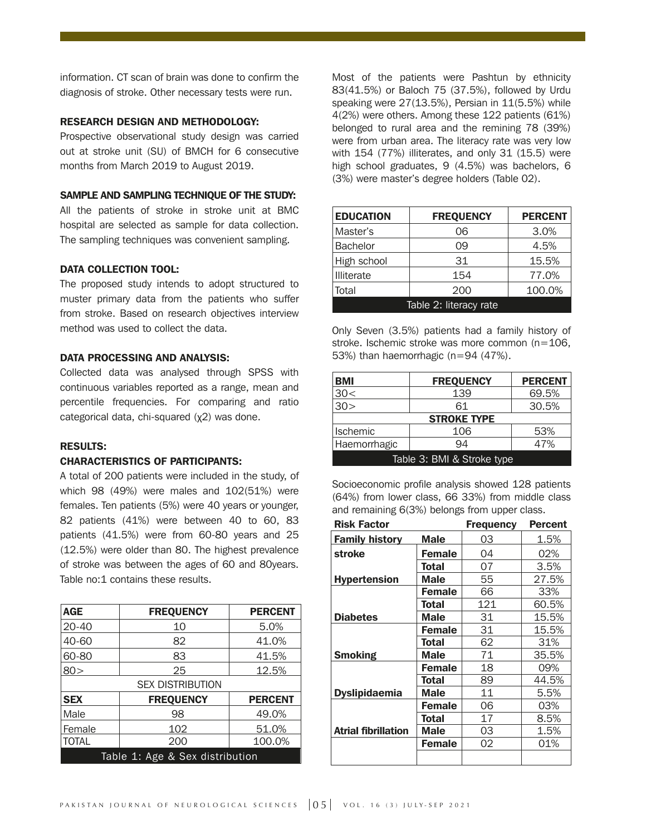information. CT scan of brain was done to confirm the diagnosis of stroke. Other necessary tests were run.

#### RESEARCH DESIGN AND METHODOLOGY:

Prospective observational study design was carried out at stroke unit (SU) of BMCH for 6 consecutive months from March 2019 to August 2019.

#### SAMPLE AND SAMPLING TECHNIQUE OF THE STUDY:

All the patients of stroke in stroke unit at BMC hospital are selected as sample for data collection. The sampling techniques was convenient sampling.

#### DATA COLLECTION TOOL:

The proposed study intends to adopt structured to muster primary data from the patients who suffer from stroke. Based on research objectives interview method was used to collect the data.

#### DATA PROCESSING AND ANALYSIS:

Collected data was analysed through SPSS with continuous variables reported as a range, mean and percentile frequencies. For comparing and ratio categorical data, chi-squared (χ2) was done.

#### RESULTS:

#### CHARACTERISTICS OF PARTICIPANTS:

A total of 200 patients were included in the study, of which 98 (49%) were males and 102(51%) were females. Ten patients (5%) were 40 years or younger, 82 patients (41%) were between 40 to 60, 83 patients (41.5%) were from 60-80 years and 25 (12.5%) were older than 80. The highest prevalence of stroke was between the ages of 60 and 80years. Table no:1 contains these results.

| <b>AGE</b>                      | <b>FREQUENCY</b> | <b>PERCENT</b> |  |
|---------------------------------|------------------|----------------|--|
| $20 - 40$                       | 10               | 5.0%           |  |
| 40-60                           | 82               | 41.0%          |  |
| 60-80                           | 83               | 41.5%          |  |
| 80 >                            | 25               | 12.5%          |  |
| <b>SEX DISTRIBUTION</b>         |                  |                |  |
| <b>SEX</b>                      | <b>FREQUENCY</b> | <b>PERCENT</b> |  |
| Male                            | 98               | 49.0%          |  |
| Female                          | 102              | 51.0%          |  |
| <b>TOTAL</b>                    | 200              | 100.0%         |  |
| Table 1: Age & Sex distribution |                  |                |  |

Most of the patients were Pashtun by ethnicity 83(41.5%) or Baloch 75 (37.5%), followed by Urdu speaking were 27(13.5%), Persian in 11(5.5%) while 4(2%) were others. Among these 122 patients (61%) belonged to rural area and the remining 78 (39%) were from urban area. The literacy rate was very low with 154 (77%) illiterates, and only 31 (15.5) were high school graduates, 9 (4.5%) was bachelors, 6 (3%) were master's degree holders (Table 02).

| <b>EDUCATION</b>       | <b>FREQUENCY</b> | <b>PERCENT</b> |
|------------------------|------------------|----------------|
| Master's               | 06               | 3.0%           |
| <b>Bachelor</b>        | 09               | 4.5%           |
| High school            | 31               | 15.5%          |
| Illiterate             | 154              | 77.0%          |
| Total                  | 200              | 100.0%         |
| Table 2: literacy rate |                  |                |

Only Seven (3.5%) patients had a family history of stroke. Ischemic stroke was more common (n=106, 53%) than haemorrhagic (n=94 (47%).

| <b>BMI</b>                 | <b>FREQUENCY</b> | <b>PERCENT</b> |  |
|----------------------------|------------------|----------------|--|
| 30<                        | 139              | 69.5%          |  |
| 30 >                       | 61               | 30.5%          |  |
| <b>STROKE TYPE</b>         |                  |                |  |
| <b>Ischemic</b>            | 106              | 53%            |  |
| Haemorrhagic               | 94               | 47%            |  |
| Table 3: BMI & Stroke type |                  |                |  |

Socioeconomic profile analysis showed 128 patients (64%) from lower class, 66 33%) from middle class and remaining 6(3%) belongs from upper class.

| <b>Risk Factor</b>         |               | <b>Frequency</b> | <b>Percent</b> |
|----------------------------|---------------|------------------|----------------|
| <b>Family history</b>      | Male          | 03               | 1.5%           |
| stroke                     | <b>Female</b> | 04               | 02%            |
|                            | Total         | 07               | 3.5%           |
| <b>Hypertension</b>        | <b>Male</b>   | 55               | 27.5%          |
|                            | <b>Female</b> | 66               | 33%            |
|                            | Total         | 121              | 60.5%          |
| <b>Diabetes</b>            | <b>Male</b>   | 31               | 15.5%          |
|                            | <b>Female</b> | 31               | 15.5%          |
|                            | Total         | 62               | 31%            |
| <b>Smoking</b>             | Male          | 71               | 35.5%          |
|                            | <b>Female</b> | 18               | 09%            |
|                            | Total         | 89               | 44.5%          |
| <b>Dyslipidaemia</b>       | Male          | 11               | 5.5%           |
|                            | <b>Female</b> | 06               | 03%            |
|                            | Total         | 17               | 8.5%           |
| <b>Atrial fibrillation</b> | <b>Male</b>   | 03               | 1.5%           |
|                            | <b>Female</b> | 02               | 01%            |
|                            |               |                  |                |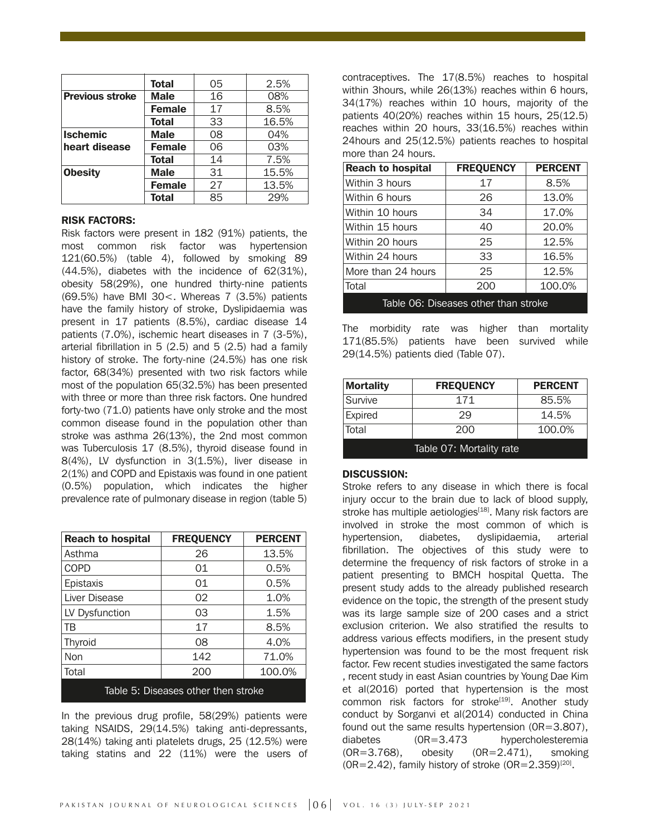|                        | <b>Total</b>  | 05 | 2.5%  |
|------------------------|---------------|----|-------|
| <b>Previous stroke</b> | <b>Male</b>   | 16 | 08%   |
|                        | <b>Female</b> | 17 | 8.5%  |
|                        | <b>Total</b>  | 33 | 16.5% |
| <b>Ischemic</b>        | <b>Male</b>   | 08 | 04%   |
| heart disease          | <b>Female</b> | 06 | 03%   |
|                        | <b>Total</b>  | 14 | 7.5%  |
| <b>Obesity</b>         | <b>Male</b>   | 31 | 15.5% |
|                        | <b>Female</b> | 27 | 13.5% |
|                        | <b>Total</b>  | 85 | 29%   |

#### RISK FACTORS:

Risk factors were present in 182 (91%) patients, the most common risk factor was hypertension 121(60.5%) (table 4), followed by smoking 89 (44.5%), diabetes with the incidence of 62(31%), obesity 58(29%), one hundred thirty-nine patients (69.5%) have BMI 30<. Whereas 7 (3.5%) patients have the family history of stroke, Dyslipidaemia was present in 17 patients (8.5%), cardiac disease 14 patients (7.0%), ischemic heart diseases in 7 (3-5%), arterial fibrillation in 5 (2.5) and 5 (2.5) had a family history of stroke. The forty-nine (24.5%) has one risk factor, 68(34%) presented with two risk factors while most of the population 65(32.5%) has been presented with three or more than three risk factors. One hundred forty-two (71.0) patients have only stroke and the most common disease found in the population other than stroke was asthma 26(13%), the 2nd most common was Tuberculosis 17 (8.5%), thyroid disease found in 8(4%), LV dysfunction in 3(1.5%), liver disease in 2(1%) and COPD and Epistaxis was found in one patient (0.5%) population, which indicates the higher prevalence rate of pulmonary disease in region (table 5)

| <b>Reach to hospital</b>            | <b>FREQUENCY</b> | <b>PERCENT</b> |
|-------------------------------------|------------------|----------------|
| Asthma                              | 26               | 13.5%          |
| <b>COPD</b>                         | 01               | 0.5%           |
| Epistaxis                           | 01               | 0.5%           |
| Liver Disease                       | 02               | 1.0%           |
| LV Dysfunction                      | 03               | 1.5%           |
| ΤB                                  | 17               | 8.5%           |
| Thyroid                             | 08               | 4.0%           |
| Non                                 | 142              | 71.0%          |
| Total                               | 200              | 100.0%         |
| Table 5: Diseases other then stroke |                  |                |

In the previous drug profile, 58(29%) patients were taking NSAIDS, 29(14.5%) taking anti-depressants, 28(14%) taking anti platelets drugs, 25 (12.5%) were taking statins and 22 (11%) were the users of contraceptives. The 17(8.5%) reaches to hospital within 3hours, while 26(13%) reaches within 6 hours, 34(17%) reaches within 10 hours, majority of the patients 40(20%) reaches within 15 hours, 25(12.5) reaches within 20 hours, 33(16.5%) reaches within 24hours and 25(12.5%) patients reaches to hospital more than 24 hours.

| <b>Reach to hospital</b>             | <b>FREQUENCY</b> | <b>PERCENT</b> |
|--------------------------------------|------------------|----------------|
| Within 3 hours                       | 17               | 8.5%           |
| Within 6 hours                       | 26               | 13.0%          |
| Within 10 hours                      | 34               | 17.0%          |
| Within 15 hours                      | 40               | 20.0%          |
| Within 20 hours                      | 25               | 12.5%          |
| Within 24 hours                      | 33               | 16.5%          |
| More than 24 hours                   | 25               | 12.5%          |
| Total                                | 200              | 100.0%         |
| Table 06: Diseases other than stroke |                  |                |

The morbidity rate was higher than mortality 171(85.5%) patients have been survived while 29(14.5%) patients died (Table 07).

| <b>Mortality</b>         | <b>FREQUENCY</b> | <b>PERCENT</b> |
|--------------------------|------------------|----------------|
| Survive                  | 171              | 85.5%          |
| Expired                  | 29               | 14.5%          |
| Total                    | 200              | 100.0%         |
| Table 07: Mortality rate |                  |                |

DISCUSSION:

Stroke refers to any disease in which there is focal injury occur to the brain due to lack of blood supply, stroke has multiple aetiologies<sup>[18]</sup>. Many risk factors are involved in stroke the most common of which is hypertension, diabetes, dyslipidaemia, arterial fibrillation. The objectives of this study were to determine the frequency of risk factors of stroke in a patient presenting to BMCH hospital Quetta. The present study adds to the already published research evidence on the topic, the strength of the present study was its large sample size of 200 cases and a strict exclusion criterion. We also stratified the results to address various effects modifiers, in the present study hypertension was found to be the most frequent risk factor. Few recent studies investigated the same factors , recent study in east Asian countries by Young Dae Kim et al(2016) ported that hypertension is the most common risk factors for stroke<sup>[19]</sup>. Another study conduct by Sorganvi et al(2014) conducted in China found out the same results hypertension (0R=3.807), diabetes (0R=3.473 hypercholesteremia (OR=3.768), obesity (0R=2.471), smoking  $(OR=2.42)$ , family history of stroke  $(OR=2.359)^{[20]}$ .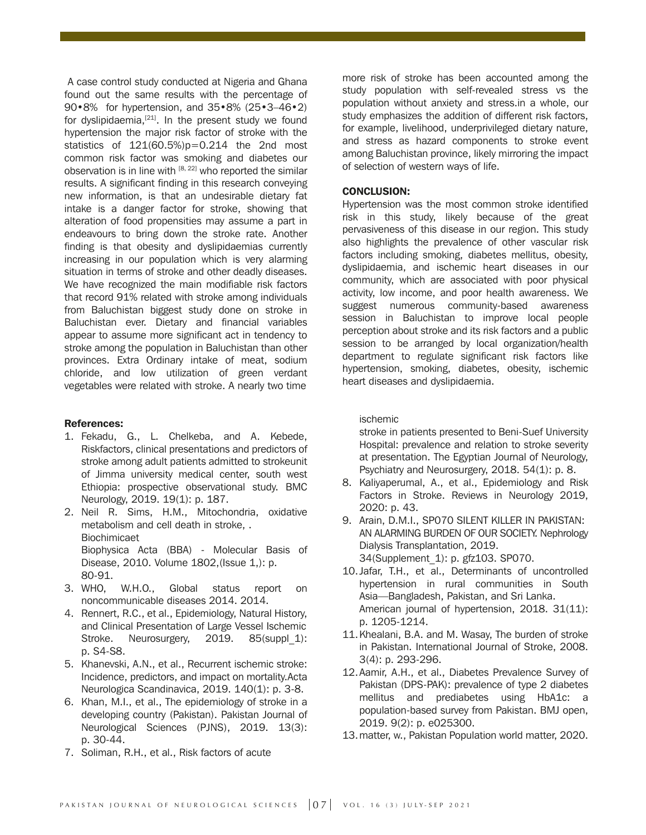A case control study conducted at Nigeria and Ghana found out the same results with the percentage of 90•8% for hypertension, and 35•8% (25•3–46•2) for dyslipidaemia, $[21]$ . In the present study we found hypertension the major risk factor of stroke with the statistics of 121(60.5%)p=0.214 the 2nd most common risk factor was smoking and diabetes our observation is in line with  $[8, 22]$  who reported the similar results. A significant finding in this research conveying new information, is that an undesirable dietary fat intake is a danger factor for stroke, showing that alteration of food propensities may assume a part in endeavours to bring down the stroke rate. Another finding is that obesity and dyslipidaemias currently increasing in our population which is very alarming situation in terms of stroke and other deadly diseases. We have recognized the main modifiable risk factors that record 91% related with stroke among individuals from Baluchistan biggest study done on stroke in Baluchistan ever. Dietary and financial variables appear to assume more significant act in tendency to stroke among the population in Baluchistan than other provinces. Extra Ordinary intake of meat, sodium chloride, and low utilization of green verdant vegetables were related with stroke. A nearly two time

#### References:

- 1. Fekadu, G., L. Chelkeba, and A. Kebede, Riskfactors, clinical presentations and predictors of stroke among adult patients admitted to strokeunit of Jimma university medical center, south west Ethiopia: prospective observational study. BMC Neurology, 2019. 19(1): p. 187.
- 2. Neil R. Sims, H.M., Mitochondria, oxidative metabolism and cell death in stroke, . **Biochimicaet**  Biophysica Acta (BBA) - Molecular Basis of Disease, 2010. Volume 1802,(Issue 1,): p. 80-91.
- 3. WHO, W.H.O., Global status report on noncommunicable diseases 2014. 2014.
- 4. Rennert, R.C., et al., Epidemiology, Natural History, and Clinical Presentation of Large Vessel Ischemic Stroke. Neurosurgery, 2019. 85(suppl 1): p. S4-S8.
- 5. Khanevski, A.N., et al., Recurrent ischemic stroke: Incidence, predictors, and impact on mortality.Acta Neurologica Scandinavica, 2019. 140(1): p. 3-8.
- 6. Khan, M.I., et al., The epidemiology of stroke in a developing country (Pakistan). Pakistan Journal of Neurological Sciences (PJNS), 2019. 13(3): p. 30-44.
- 7. Soliman, R.H., et al., Risk factors of acute

more risk of stroke has been accounted among the study population with self-revealed stress vs the population without anxiety and stress.in a whole, our study emphasizes the addition of different risk factors, for example, livelihood, underprivileged dietary nature, and stress as hazard components to stroke event among Baluchistan province, likely mirroring the impact of selection of western ways of life.

#### CONCLUSION:

Hypertension was the most common stroke identified risk in this study, likely because of the great pervasiveness of this disease in our region. This study also highlights the prevalence of other vascular risk factors including smoking, diabetes mellitus, obesity, dyslipidaemia, and ischemic heart diseases in our community, which are associated with poor physical activity, low income, and poor health awareness. We suggest numerous community-based awareness session in Baluchistan to improve local people perception about stroke and its risk factors and a public session to be arranged by local organization/health department to regulate significant risk factors like hypertension, smoking, diabetes, obesity, ischemic heart diseases and dyslipidaemia.

#### ischemic

 stroke in patients presented to Beni-Suef University Hospital: prevalence and relation to stroke severity at presentation. The Egyptian Journal of Neurology, Psychiatry and Neurosurgery, 2018. 54(1): p. 8.

- 8. Kaliyaperumal, A., et al., Epidemiology and Risk Factors in Stroke. Reviews in Neurology 2019, 2020: p. 43.
- 9. Arain, D.M.I., SP070 SILENT KILLER IN PAKISTAN: AN ALARMING BURDEN OF OUR SOCIETY. Nephrology Dialysis Transplantation, 2019. 34(Supplement\_1): p. gfz103. SP070.
- 10. Jafar, T.H., et al., Determinants of uncontrolled hypertension in rural communities in South Asia—Bangladesh, Pakistan, and Sri Lanka. American journal of hypertension, 2018. 31(11): p. 1205-1214.
- 11. Khealani, B.A. and M. Wasay, The burden of stroke in Pakistan. International Journal of Stroke, 2008. 3(4): p. 293-296.
- 12. Aamir, A.H., et al., Diabetes Prevalence Survey of Pakistan (DPS-PAK): prevalence of type 2 diabetes mellitus and prediabetes using HbA1c: a population-based survey from Pakistan. BMJ open, 2019. 9(2): p. e025300.
- 13. matter, w., Pakistan Population world matter, 2020.